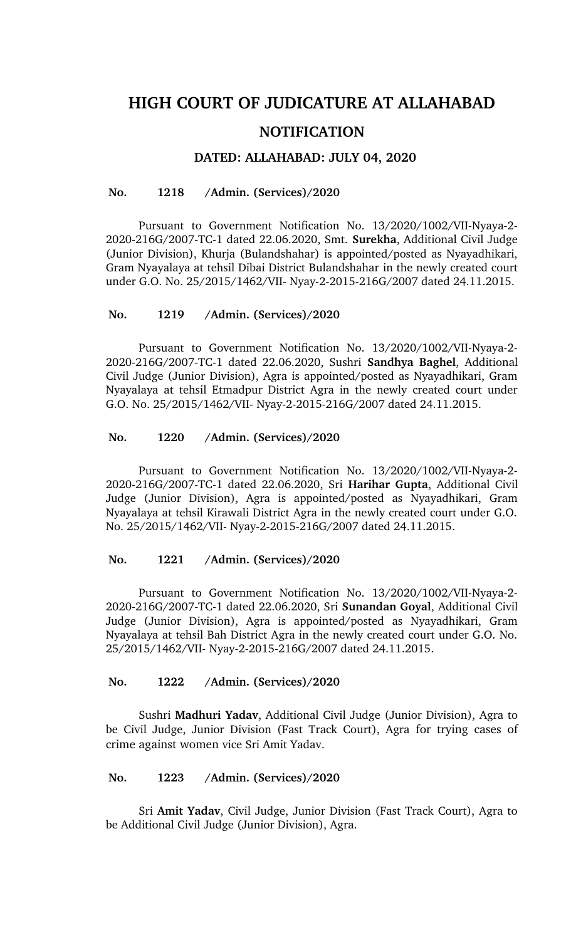# **HIGH COURT OF JUDICATURE AT ALLAHABAD NOTIFICATION**

## **DATED: ALLAHABAD: JULY 04, 2020**

#### **No. 1218 /Admin. (Services)/2020**

Pursuant to Government Notification No. 13/2020/1002/VII-Nyaya-2-2020216G/2007TC1 dated 22.06.2020, Smt. **Surekha**, Additional Civil Judge (Junior Division), Khurja (Bulandshahar) is appointed/posted as Nyayadhikari, Gram Nyayalaya at tehsil Dibai District Bulandshahar in the newly created court under G.O. No. 25/2015/1462/VII- Nyay-2-2015-216G/2007 dated 24.11.2015.

#### **No. 1219 /Admin. (Services)/2020**

Pursuant to Government Notification No. 13/2020/1002/VII-Nyaya-2-2020216G/2007TC1 dated 22.06.2020, Sushri **Sandhya Baghel**, Additional Civil Judge (Junior Division), Agra is appointed/posted as Nyayadhikari, Gram Nyayalaya at tehsil Etmadpur District Agra in the newly created court under G.O. No. 25/2015/1462/VII- Nyay-2-2015-216G/2007 dated 24.11.2015.

#### **No. 1220 /Admin. (Services)/2020**

Pursuant to Government Notification No. 13/2020/1002/VII-Nyaya-2-2020216G/2007TC1 dated 22.06.2020, Sri **Harihar Gupta**, Additional Civil Judge (Junior Division), Agra is appointed/posted as Nyayadhikari, Gram Nyayalaya at tehsil Kirawali District Agra in the newly created court under G.O. No. 25/2015/1462/VII- Nyay-2-2015-216G/2007 dated 24.11.2015.

## **No. 1221 /Admin. (Services)/2020**

Pursuant to Government Notification No. 13/2020/1002/VII-Nyaya-2-2020216G/2007TC1 dated 22.06.2020, Sri **Sunandan Goyal**, Additional Civil Judge (Junior Division), Agra is appointed/posted as Nyayadhikari, Gram Nyayalaya at tehsil Bah District Agra in the newly created court under G.O. No. 25/2015/1462/VII- Nyay-2-2015-216G/2007 dated 24.11.2015.

#### **No. 1222 /Admin. (Services)/2020**

Sushri **Madhuri Yadav**, Additional Civil Judge (Junior Division), Agra to be Civil Judge, Junior Division (Fast Track Court), Agra for trying cases of crime against women vice Sri Amit Yadav.

### **No. 1223 /Admin. (Services)/2020**

Sri **Amit Yadav**, Civil Judge, Junior Division (Fast Track Court), Agra to be Additional Civil Judge (Junior Division), Agra.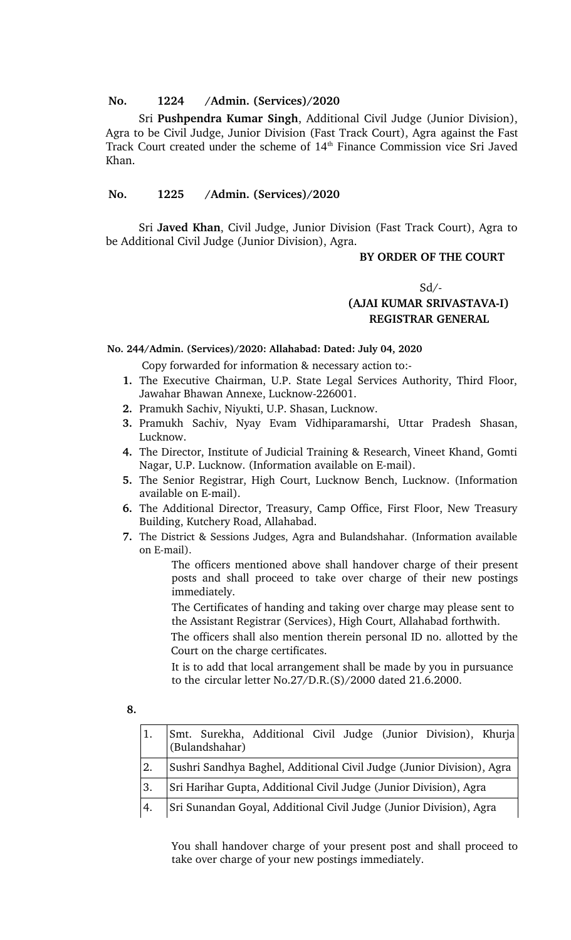## **No. 1224 /Admin. (Services)/2020**

Sri **Pushpendra Kumar Singh**, Additional Civil Judge (Junior Division), Agra to be Civil Judge, Junior Division (Fast Track Court), Agra against the Fast Track Court created under the scheme of  $14<sup>th</sup>$  Finance Commission vice Sri Javed Khan.

## **No. 1225 /Admin. (Services)/2020**

Sri **Javed Khan**, Civil Judge, Junior Division (Fast Track Court), Agra to be Additional Civil Judge (Junior Division), Agra.

#### **BY ORDER OF THE COURT**

#### $Sd$  /-

# **(AJAI KUMAR SRIVASTAVAI) REGISTRAR GENERAL**

## **No. 244/Admin. (Services)/2020: Allahabad: Dated: July 04, 2020**

Copy forwarded for information & necessary action to:

- **1.** The Executive Chairman, U.P. State Legal Services Authority, Third Floor, Jawahar Bhawan Annexe, Lucknow-226001.
- **2.** Pramukh Sachiv, Niyukti, U.P. Shasan, Lucknow.
- **3.** Pramukh Sachiv, Nyay Evam Vidhiparamarshi, Uttar Pradesh Shasan, Lucknow.
- **4.** The Director, Institute of Judicial Training & Research, Vineet Khand, Gomti Nagar, U.P. Lucknow. (Information available on E-mail).
- **5.** The Senior Registrar, High Court, Lucknow Bench, Lucknow. (Information available on E-mail).
- **6.** The Additional Director, Treasury, Camp Office, First Floor, New Treasury Building, Kutchery Road, Allahabad.
- **7.** The District & Sessions Judges, Agra and Bulandshahar. (Information available on E-mail).

The officers mentioned above shall handover charge of their present posts and shall proceed to take over charge of their new postings immediately.

The Certificates of handing and taking over charge may please sent to the Assistant Registrar (Services), High Court, Allahabad forthwith.

The officers shall also mention therein personal ID no. allotted by the Court on the charge certificates.

It is to add that local arrangement shall be made by you in pursuance to the circular letter No.27/D.R.(S)/2000 dated 21.6.2000.

| I<br>P.<br>٦<br>٠<br>×<br>۰. | $\sim$ |
|------------------------------|--------|
|                              |        |

| 1. | Smt. Surekha, Additional Civil Judge (Junior Division), Khurja<br>(Bulandshahar) |
|----|----------------------------------------------------------------------------------|
| 2. | Sushri Sandhya Baghel, Additional Civil Judge (Junior Division), Agra            |
| 3. | Sri Harihar Gupta, Additional Civil Judge (Junior Division), Agra                |
| 4. | Sri Sunandan Goyal, Additional Civil Judge (Junior Division), Agra               |

You shall handover charge of your present post and shall proceed to take over charge of your new postings immediately.